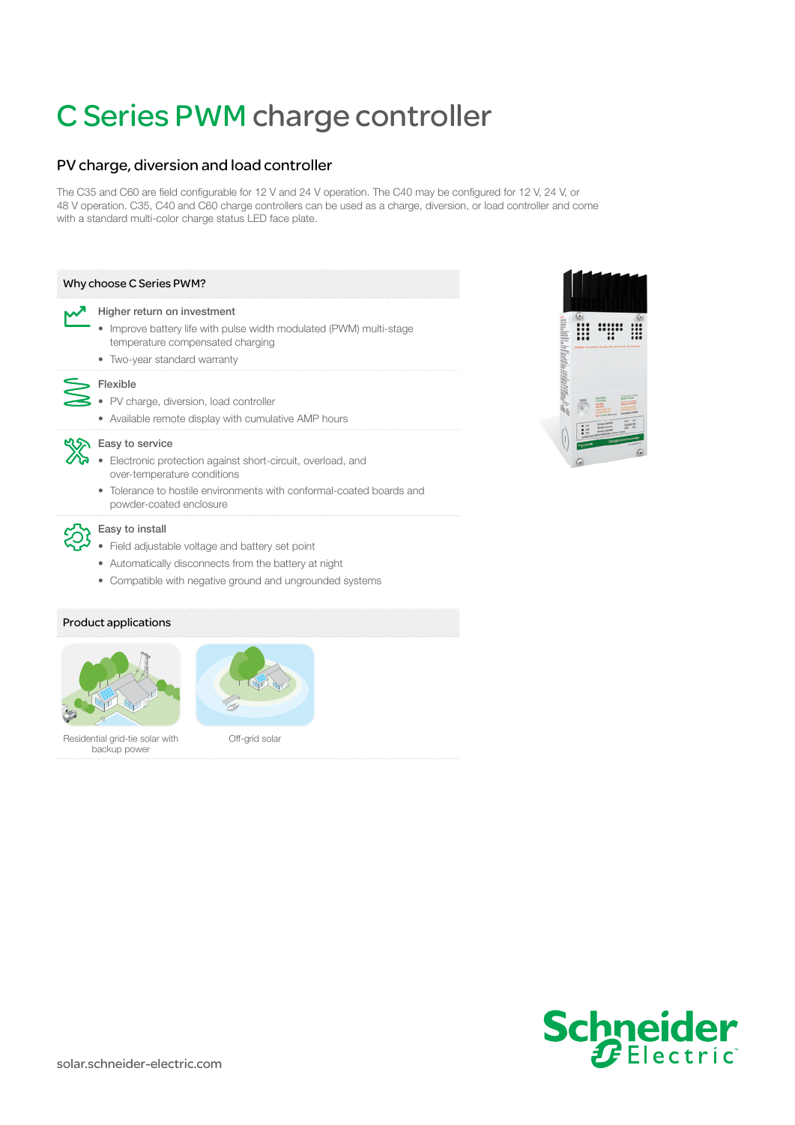# [C Series PWM charge controller](https://www.altestore.com/store/charge-controllers/solar-charge-controllers/pwm-solar-charge-controllers/xantrex-solar-charge-controllers-pwm/xantrex-c35-charge-controller-35a-12-or-24v-solar-charge-controller-p2069/)

# PV charge, diversion and load controller

The C35 and C60 are field configurable for 12 V and 24 V operation. The C40 may be configured for 12 V, 24 V, or 48 V operation. C35, C40 and C60 charge controllers can be used as a charge, diversion, or load controller and come with a standard multi-color charge status LED face plate.

### Why choose C Series PWM?

#### Higher return on investment

- Improve battery life with pulse width modulated (PWM) multi-stage temperature compensated charging
- Two-year standard warranty

# > Flexible

- PV charge, diversion, load controller
- Available remote display with cumulative AMP hours

## **KISH** Easy to service

- Electronic protection against short-circuit, overload, and over-temperature conditions
- Tolerance to hostile environments with conformal-coated boards and powder-coated enclosure



- Field adjustable voltage and battery set point
- Automatically disconnects from the battery at night
- Compatible with negative ground and ungrounded systems

# Product applications





Residential grid-tie solar with backup power

Off-grid solar